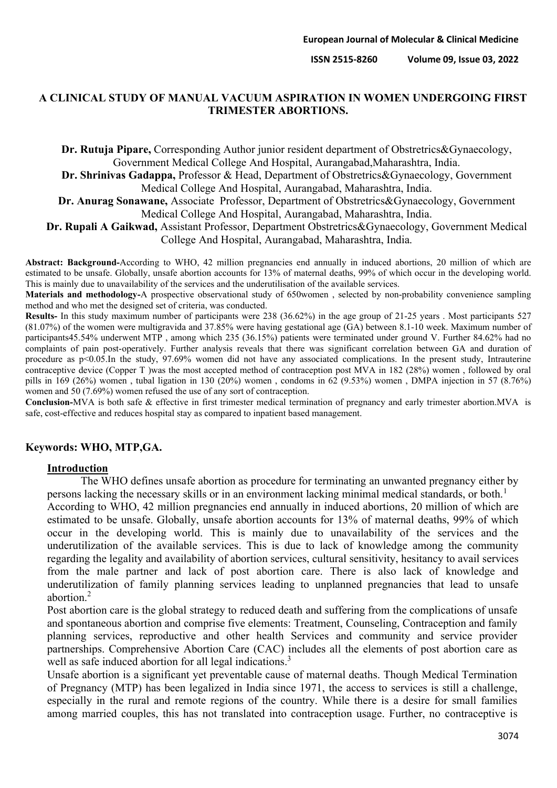## **A CLINICAL STUDY OF MANUAL VACUUM ASPIRATION IN WOMEN UNDERGOING FIRST TRIMESTER ABORTIONS.**

**Dr. Rutuja Pipare,** Corresponding Author junior resident department of Obstretrics&Gynaecology, Government Medical College And Hospital, Aurangabad,Maharashtra, India.

**Dr. Shrinivas Gadappa,** Professor & Head, Department of Obstretrics&Gynaecology, Government Medical College And Hospital, Aurangabad, Maharashtra, India.

**Dr. Anurag Sonawane,** Associate Professor, Department of Obstretrics&Gynaecology, Government Medical College And Hospital, Aurangabad, Maharashtra, India.

**Dr. Rupali A Gaikwad,** Assistant Professor, Department Obstretrics&Gynaecology, Government Medical College And Hospital, Aurangabad, Maharashtra, India.

**Abstract: Background-**According to WHO, 42 million pregnancies end annually in induced abortions, 20 million of which are estimated to be unsafe. Globally, unsafe abortion accounts for 13% of maternal deaths, 99% of which occur in the developing world. This is mainly due to unavailability of the services and the underutilisation of the available services.

**Materials and methodology-**A prospective observational study of 650women , selected by non-probability convenience sampling method and who met the designed set of criteria, was conducted.

**Results-** In this study maximum number of participants were 238 (36.62%) in the age group of 21-25 years . Most participants 527 (81.07%) of the women were multigravida and 37.85% were having gestational age (GA) between 8.1-10 week. Maximum number of participants45.54% underwent MTP , among which 235 (36.15%) patients were terminated under ground V. Further 84.62% had no complaints of pain post-operatively. Further analysis reveals that there was significant correlation between GA and duration of procedure as p<0.05.In the study, 97.69% women did not have any associated complications. In the present study, Intrauterine contraceptive device (Copper T )was the most accepted method of contraception post MVA in 182 (28%) women , followed by oral pills in 169 (26%) women , tubal ligation in 130 (20%) women , condoms in 62 (9.53%) women , DMPA injection in 57 (8.76%) women and 50 (7.69%) women refused the use of any sort of contraception.

**Conclusion-**MVA is both safe & effective in first trimester medical termination of pregnancy and early trimester abortion.MVA is safe, cost-effective and reduces hospital stay as compared to inpatient based management.

### **Keywords: WHO, MTP,GA.**

### **Introduction**

The WHO defines unsafe abortion as procedure for terminating an unwanted pregnancy either by persons lacking the necessary skills or in an environment lacking minimal medical standards, or both.<sup>1</sup>

According to WHO, 42 million pregnancies end annually in induced abortions, 20 million of which are estimated to be unsafe. Globally, unsafe abortion accounts for 13% of maternal deaths, 99% of which occur in the developing world. This is mainly due to unavailability of the services and the underutilization of the available services. This is due to lack of knowledge among the community regarding the legality and availability of abortion services, cultural sensitivity, hesitancy to avail services from the male partner and lack of post abortion care. There is also lack of knowledge and underutilization of family planning services leading to unplanned pregnancies that lead to unsafe abortion.2

Post abortion care is the global strategy to reduced death and suffering from the complications of unsafe and spontaneous abortion and comprise five elements: Treatment, Counseling, Contraception and family planning services, reproductive and other health Services and community and service provider partnerships. Comprehensive Abortion Care (CAC) includes all the elements of post abortion care as well as safe induced abortion for all legal indications.<sup>3</sup>

Unsafe abortion is a significant yet preventable cause of maternal deaths. Though Medical Termination of Pregnancy (MTP) has been legalized in India since 1971, the access to services is still a challenge, especially in the rural and remote regions of the country. While there is a desire for small families among married couples, this has not translated into contraception usage. Further, no contraceptive is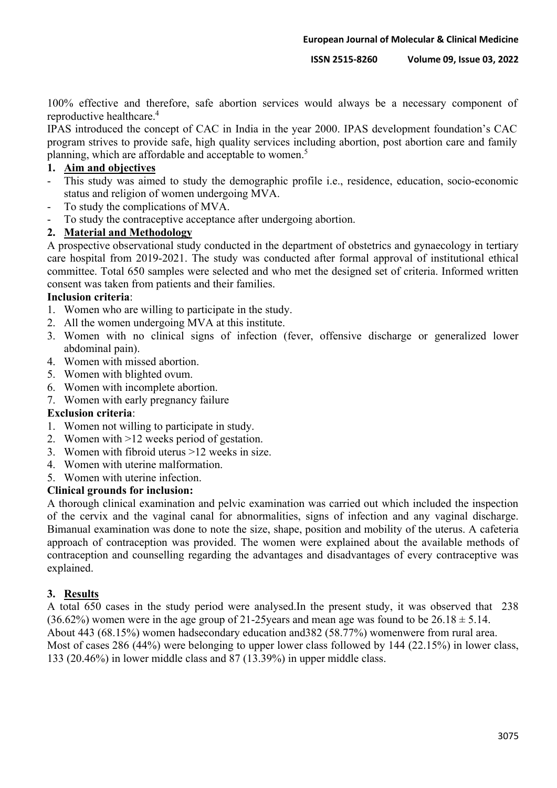100% effective and therefore, safe abortion services would always be a necessary component of reproductive healthcare.4

IPAS introduced the concept of CAC in India in the year 2000. IPAS development foundation's CAC program strives to provide safe, high quality services including abortion, post abortion care and family planning, which are affordable and acceptable to women.<sup>5</sup>

# **1. Aim and objectives**

- This study was aimed to study the demographic profile i.e., residence, education, socio-economic status and religion of women undergoing MVA.
- To study the complications of MVA.
- To study the contraceptive acceptance after undergoing abortion.

# **2. Material and Methodology**

A prospective observational study conducted in the department of obstetrics and gynaecology in tertiary care hospital from 2019-2021. The study was conducted after formal approval of institutional ethical committee. Total 650 samples were selected and who met the designed set of criteria. Informed written consent was taken from patients and their families.

## **Inclusion criteria**:

- 1. Women who are willing to participate in the study.
- 2. All the women undergoing MVA at this institute.
- 3. Women with no clinical signs of infection (fever, offensive discharge or generalized lower abdominal pain).
- 4. Women with missed abortion.
- 5. Women with blighted ovum.
- 6. Women with incomplete abortion.
- 7. Women with early pregnancy failure

### **Exclusion criteria**:

- 1. Women not willing to participate in study.
- 2. Women with >12 weeks period of gestation.
- 3. Women with fibroid uterus >12 weeks in size.
- 4. Women with uterine malformation.
- 5. Women with uterine infection.

## **Clinical grounds for inclusion:**

A thorough clinical examination and pelvic examination was carried out which included the inspection of the cervix and the vaginal canal for abnormalities, signs of infection and any vaginal discharge. Bimanual examination was done to note the size, shape, position and mobility of the uterus. A cafeteria approach of contraception was provided. The women were explained about the available methods of contraception and counselling regarding the advantages and disadvantages of every contraceptive was explained.

## **3. Results**

A total 650 cases in the study period were analysed.In the present study, it was observed that 238  $(36.62\%)$  women were in the age group of 21-25 years and mean age was found to be  $26.18 \pm 5.14$ . About 443 (68.15%) women hadsecondary education and382 (58.77%) womenwere from rural area. Most of cases 286 (44%) were belonging to upper lower class followed by 144 (22.15%) in lower class, 133 (20.46%) in lower middle class and 87 (13.39%) in upper middle class.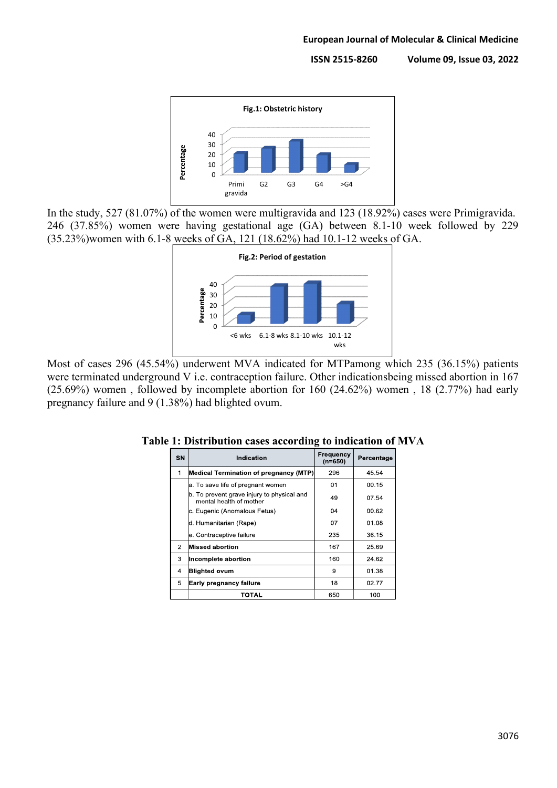

In the study, 527 (81.07%) of the women were multigravida and 123 (18.92%) cases were Primigravida. 246 (37.85%) women were having gestational age (GA) between 8.1-10 week followed by 229 (35.23%)women with 6.1-8 weeks of GA, 121 (18.62%) had 10.1-12 weeks of GA.



Most of cases 296 (45.54%) underwent MVA indicated for MTPamong which 235 (36.15%) patients were terminated underground V i.e. contraception failure. Other indicationsbeing missed abortion in 167 (25.69%) women , followed by incomplete abortion for 160 (24.62%) women , 18 (2.77%) had early pregnancy failure and 9 (1.38%) had blighted ovum.

| SN | Indication                                                            | Frequency<br>$(n=650)$ | Percentage |
|----|-----------------------------------------------------------------------|------------------------|------------|
| 1  | <b>Medical Termination of pregnancy (MTP)</b>                         | 296                    | 45.54      |
|    | a. To save life of pregnant women                                     | 01                     | 00.15      |
|    | b. To prevent grave injury to physical and<br>mental health of mother | 49                     | 07.54      |
|    | c. Eugenic (Anomalous Fetus)                                          | 04                     | 00.62      |
|    | d. Humanitarian (Rape)                                                | 07                     | 01.08      |
|    | e. Contraceptive failure                                              | 235                    | 36.15      |
| 2  | <b>Missed abortion</b>                                                | 167                    | 25.69      |
| 3  | Incomplete abortion                                                   | 160                    | 24.62      |
| 4  | <b>Blighted ovum</b>                                                  | 9                      | 01.38      |
| 5  | Early pregnancy failure                                               | 18                     | 02.77      |
|    | TOTAL                                                                 | 650                    | 100        |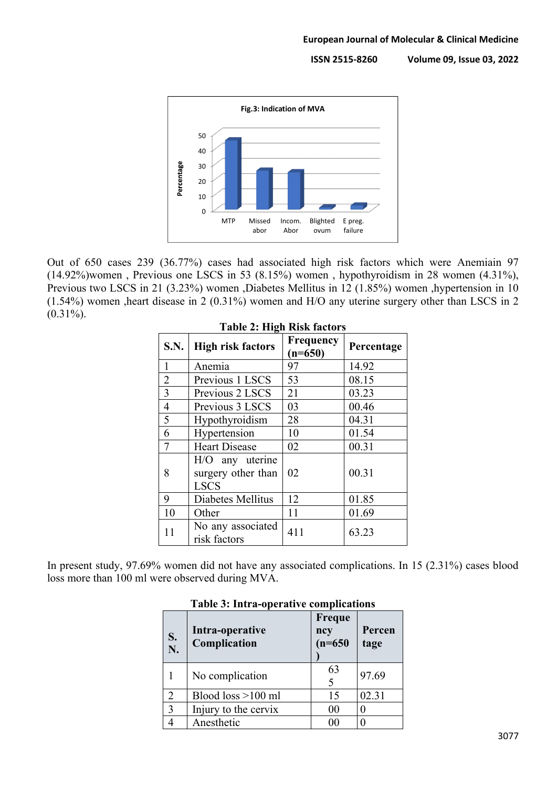

Out of 650 cases 239 (36.77%) cases had associated high risk factors which were Anemiain 97 (14.92%)women , Previous one LSCS in 53 (8.15%) women , hypothyroidism in 28 women (4.31%), Previous two LSCS in 21 (3.23%) women ,Diabetes Mellitus in 12 (1.85%) women ,hypertension in 10 (1.54%) women ,heart disease in 2 (0.31%) women and H/O any uterine surgery other than LSCS in 2  $(0.31\%).$ 

| $1400 \pm 111 \pm 1100$ |                                                      |                               |            |  |  |
|-------------------------|------------------------------------------------------|-------------------------------|------------|--|--|
| <b>S.N.</b>             | <b>High risk factors</b>                             | <b>Frequency</b><br>$(n=650)$ | Percentage |  |  |
| 1                       | Anemia                                               | 97                            | 14.92      |  |  |
| $\overline{2}$          | Previous 1 LSCS                                      | 53                            | 08.15      |  |  |
| 3                       | Previous 2 LSCS                                      | 21                            | 03.23      |  |  |
| $\overline{4}$          | Previous 3 LSCS                                      | 03                            | 00.46      |  |  |
| 5                       | Hypothyroidism                                       | 28                            | 04.31      |  |  |
| 6                       | Hypertension                                         | 10                            | 01.54      |  |  |
| $\tau$                  | <b>Heart Disease</b>                                 | 02                            | 00.31      |  |  |
| 8                       | H/O any uterine<br>surgery other than<br><b>LSCS</b> | 02                            | 00.31      |  |  |
| 9                       | Diabetes Mellitus                                    | 12                            | 01.85      |  |  |
| 10                      | Other                                                | 11                            | 01.69      |  |  |
| 11                      | No any associated<br>risk factors                    | 411                           | 63.23      |  |  |

# **Table 2: High Risk factors**

In present study, 97.69% women did not have any associated complications. In 15 (2.31%) cases blood loss more than 100 ml were observed during MVA.

| S.<br>N.       | Intra-operative<br>Complication | Freque<br>ncy<br>$(n=650)$ | Percen<br>tage |
|----------------|---------------------------------|----------------------------|----------------|
|                | No complication                 | 63                         | 97.69          |
| $\overline{2}$ | Blood loss $>100$ ml            | 15                         | 02.31          |
| $\overline{3}$ | Injury to the cervix            | 00                         |                |
|                | Anesthetic                      |                            |                |

### **Table 3: Intra-operative complications**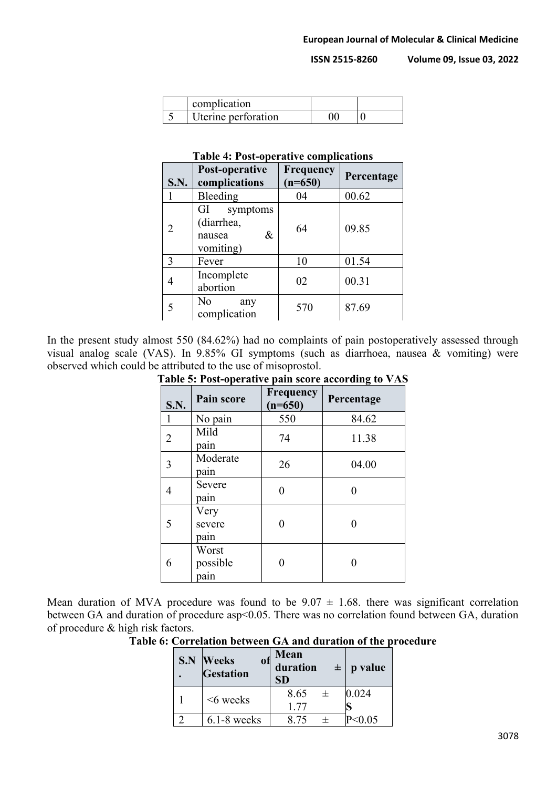| complication        |  |
|---------------------|--|
| Uterine perforation |  |

### **Table 4: Post-operative complications**

| <b>S.N.</b> | Post-operative<br>complications                          | Frequency<br>$(n=650)$ | Percentage |
|-------------|----------------------------------------------------------|------------------------|------------|
|             | Bleeding                                                 | 04                     | 00.62      |
| 2           | GI<br>symptoms<br>(diarrhea,<br>&<br>nausea<br>vomiting) | 64                     | 09.85      |
| 3           | Fever                                                    | 10                     | 01.54      |
| 4           | Incomplete<br>abortion                                   | 02                     | 00.31      |
|             | N <sub>o</sub><br>any<br>complication                    | 570                    | 87.69      |

In the present study almost 550 (84.62%) had no complaints of pain postoperatively assessed through visual analog scale (VAS). In 9.85% GI symptoms (such as diarrhoea, nausea & vomiting) were observed which could be attributed to the use of misoprostol.

| <b>Table 5: Post-operative pain score according to VAS</b> |                           |                               |            |  |
|------------------------------------------------------------|---------------------------|-------------------------------|------------|--|
| <b>S.N.</b>                                                | <b>Pain score</b>         | <b>Frequency</b><br>$(n=650)$ | Percentage |  |
| $\mathbf{1}$                                               | No pain                   | 550                           | 84.62      |  |
| $\overline{2}$                                             | Mild<br>pain              | 74                            | 11.38      |  |
| 3                                                          | Moderate<br>pain          | 26                            | 04.00      |  |
| $\overline{4}$                                             | Severe<br>pain            | 0                             |            |  |
| 5                                                          | Very<br>severe<br>pain    |                               |            |  |
| 6                                                          | Worst<br>possible<br>pain |                               |            |  |

# **Table 5: Post-operative pain score according to VAS**

Mean duration of MVA procedure was found to be  $9.07 \pm 1.68$ . there was significant correlation between GA and duration of procedure asp<0.05. There was no correlation found between GA, duration of procedure & high risk factors.

**Table 6: Correlation between GA and duration of the procedure**

| S.N | <b>Weeks</b><br>0Ħ<br>Gestation | Mean<br>duration<br><b>SD</b> | $\pm$   p value |
|-----|---------------------------------|-------------------------------|-----------------|
|     | <6 weeks                        | 8.65<br>士<br>1.77             | 0.024           |
|     | $6.1-8$ weeks                   | 8.75                          | P<0.05          |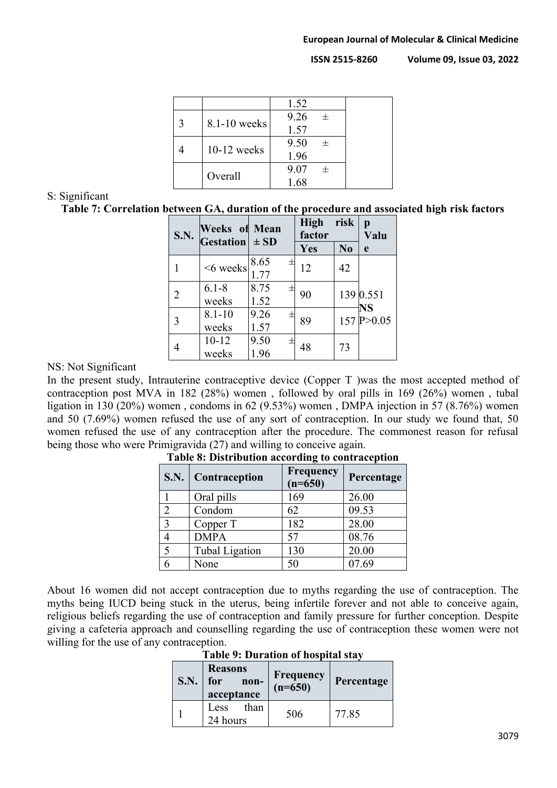|               | 1.52 |        |
|---------------|------|--------|
| 8.1-10 weeks  | 9.26 | $+$    |
|               | 1.57 |        |
| $10-12$ weeks | 9.50 | $^{+}$ |
|               | 1.96 |        |
| Overall       | 9.07 | $^{+}$ |
|               | 1.68 |        |

## S: Significant

**Table 7: Correlation between GA, duration of the procedure and associated high risk factors**

| <b>S.N.</b> | <b>Weeks of Mean</b><br>Gestation $\pm$ SD |                     | <b>High</b><br>factor | risk           | p<br>Valu          |
|-------------|--------------------------------------------|---------------------|-----------------------|----------------|--------------------|
|             |                                            |                     | Yes                   | N <sub>0</sub> | e                  |
|             | <6 weeks                                   | $8.65$<br>1.77<br>士 | 12                    | 42             |                    |
|             |                                            |                     |                       |                |                    |
|             | $6.1 - 8$                                  | 8.75<br>土           |                       |                | 139 0.551          |
|             | weeks                                      | 1.52                | 90                    |                |                    |
| 3           | $8.1 - 10$                                 | 9.26<br>士           | 89                    |                | NS<br>157 P > 0.05 |
|             | weeks                                      | 1.57                |                       |                |                    |
|             | $10 - 12$                                  | 9.50<br>士           |                       |                |                    |
|             | weeks                                      | 1.96                | 48                    | 73             |                    |

## NS: Not Significant

In the present study, Intrauterine contraceptive device (Copper T )was the most accepted method of contraception post MVA in 182 (28%) women , followed by oral pills in 169 (26%) women , tubal ligation in 130 (20%) women , condoms in 62 (9.53%) women , DMPA injection in 57 (8.76%) women and 50 (7.69%) women refused the use of any sort of contraception. In our study we found that, 50 women refused the use of any contraception after the procedure. The commonest reason for refusal being those who were Primigravida (27) and willing to conceive again.

| <b>S.N.</b>    | <b>Contraception</b>  | Frequency<br>$(n=650)$ | Percentage |
|----------------|-----------------------|------------------------|------------|
|                | Oral pills            | 169                    | 26.00      |
| $\overline{2}$ | Condom                | 62                     | 09.53      |
| $\overline{3}$ | Copper T              | 182                    | 28.00      |
| $\overline{4}$ | <b>DMPA</b>           | 57                     | 08.76      |
| $\overline{5}$ | <b>Tubal Ligation</b> | 130                    | 20.00      |
| 6              | None                  | 50                     | 07.69      |

**Table 8: Distribution according to contraception**

About 16 women did not accept contraception due to myths regarding the use of contraception. The myths being IUCD being stuck in the uterus, being infertile forever and not able to conceive again, religious beliefs regarding the use of contraception and family pressure for further conception. Despite giving a cafeteria approach and counselling regarding the use of contraception these women were not willing for the use of any contraception.

**Table 9: Duration of hospital stay**

| <b>S.N.</b> | <b>Reasons</b><br>for<br>non-<br>acceptance | Frequency<br>(n=650) | Percentage |
|-------------|---------------------------------------------|----------------------|------------|
|             | than<br>Less<br>24 hours                    | 506                  | 77.85      |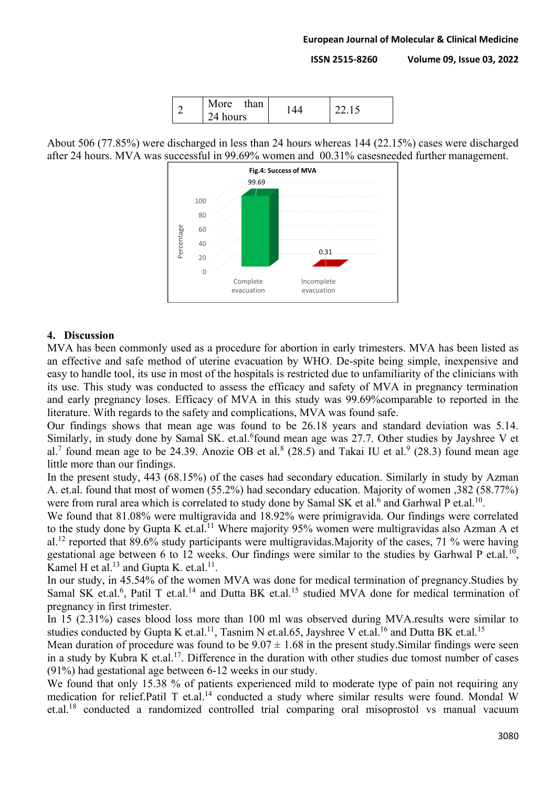

About 506 (77.85%) were discharged in less than 24 hours whereas 144 (22.15%) cases were discharged after 24 hours. MVA was successful in 99.69% women and 00.31% casesneeded further management.



## **4. Discussion**

MVA has been commonly used as a procedure for abortion in early trimesters. MVA has been listed as an effective and safe method of uterine evacuation by WHO. De-spite being simple, inexpensive and easy to handle tool, its use in most of the hospitals is restricted due to unfamiliarity of the clinicians with its use. This study was conducted to assess the efficacy and safety of MVA in pregnancy termination and early pregnancy loses. Efficacy of MVA in this study was 99.69%comparable to reported in the literature. With regards to the safety and complications, MVA was found safe.

Our findings shows that mean age was found to be 26.18 years and standard deviation was 5.14. Similarly, in study done by Samal SK. et.al. <sup>6</sup>found mean age was 27.7. Other studies by Jayshree V et al.<sup>7</sup> found mean age to be 24.39. Anozie OB et al.<sup>8</sup> (28.5) and Takai IU et al.<sup>9</sup> (28.3) found mean age little more than our findings.

In the present study, 443 (68.15%) of the cases had secondary education. Similarly in study by Azman A. et.al. found that most of women (55.2%) had secondary education. Majority of women ,382 (58.77%) were from rural area which is correlated to study done by Samal SK et al.<sup>6</sup> and Garhwal P et.al.<sup>10</sup>.

We found that 81.08% were multigravida and 18.92% were primigravida. Our findings were correlated to the study done by Gupta K et.al.<sup>11</sup> Where majority 95% women were multigravidas also Azman A et al.<sup>12</sup> reported that 89.6% study participants were multigravidas.Majority of the cases, 71 % were having gestational age between 6 to 12 weeks. Our findings were similar to the studies by Garhwal P et.al.<sup>10</sup>, Kamel H et al.<sup>13</sup> and Gupta K. et.al.<sup>11</sup>.

In our study, in 45.54% of the women MVA was done for medical termination of pregnancy.Studies by Samal SK et.al.<sup>6</sup>, Patil T et.al.<sup>14</sup> and Dutta BK et.al.<sup>15</sup> studied MVA done for medical termination of pregnancy in first trimester.

In 15 (2.31%) cases blood loss more than 100 ml was observed during MVA.results were similar to studies conducted by Gupta K et.al.<sup>11</sup>, Tasnim N et.al.65, Jayshree V et.al.<sup>16</sup> and Dutta BK et.al.<sup>15</sup>

Mean duration of procedure was found to be  $9.07 \pm 1.68$  in the present study. Similar findings were seen in a study by Kubra K et.al.<sup>17</sup>. Difference in the duration with other studies due tomost number of cases (91%) had gestational age between 6-12 weeks in our study.

We found that only 15.38 % of patients experienced mild to moderate type of pain not requiring any medication for relief.Patil T et.al.<sup>14</sup> conducted a study where similar results were found. Mondal W et.al.18 conducted a randomized controlled trial comparing oral misoprostol vs manual vacuum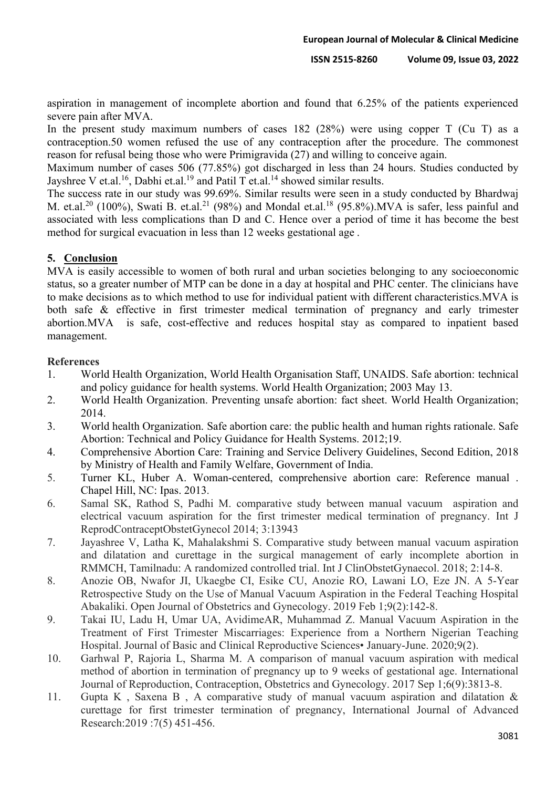aspiration in management of incomplete abortion and found that 6.25% of the patients experienced severe pain after MVA.

In the present study maximum numbers of cases 182 (28%) were using copper T (Cu T) as a contraception.50 women refused the use of any contraception after the procedure. The commonest reason for refusal being those who were Primigravida (27) and willing to conceive again.

Maximum number of cases 506 (77.85%) got discharged in less than 24 hours. Studies conducted by Jayshree V et.al.<sup>16</sup>, Dabhi et.al.<sup>19</sup> and Patil T et.al.<sup>14</sup> showed similar results.

The success rate in our study was 99.69%. Similar results were seen in a study conducted by Bhardwaj M. et.al.<sup>20</sup> (100%), Swati B. et.al.<sup>21</sup> (98%) and Mondal et.al.<sup>18</sup> (95.8%).MVA is safer, less painful and associated with less complications than D and C. Hence over a period of time it has become the best method for surgical evacuation in less than 12 weeks gestational age .

# **5. Conclusion**

MVA is easily accessible to women of both rural and urban societies belonging to any socioeconomic status, so a greater number of MTP can be done in a day at hospital and PHC center. The clinicians have to make decisions as to which method to use for individual patient with different characteristics.MVA is both safe & effective in first trimester medical termination of pregnancy and early trimester abortion.MVA is safe, cost-effective and reduces hospital stay as compared to inpatient based management.

## **References**

- 1. World Health Organization, World Health Organisation Staff, UNAIDS. Safe abortion: technical and policy guidance for health systems. World Health Organization; 2003 May 13.
- 2. World Health Organization. Preventing unsafe abortion: fact sheet. World Health Organization; 2014.
- 3. World health Organization. Safe abortion care: the public health and human rights rationale. Safe Abortion: Technical and Policy Guidance for Health Systems. 2012;19.
- 4. Comprehensive Abortion Care: Training and Service Delivery Guidelines, Second Edition, 2018 by Ministry of Health and Family Welfare, Government of India.
- 5. Turner KL, Huber A. Woman-centered, comprehensive abortion care: Reference manual . Chapel Hill, NC: Ipas. 2013.
- 6. Samal SK, Rathod S, Padhi M. comparative study between manual vacuum aspiration and electrical vacuum aspiration for the first trimester medical termination of pregnancy. Int J ReprodContraceptObstetGynecol 2014; 3:13943
- 7. Jayashree V, Latha K, Mahalakshmi S. Comparative study between manual vacuum aspiration and dilatation and curettage in the surgical management of early incomplete abortion in RMMCH, Tamilnadu: A randomized controlled trial. Int J ClinObstetGynaecol. 2018; 2:14-8.
- 8. Anozie OB, Nwafor JI, Ukaegbe CI, Esike CU, Anozie RO, Lawani LO, Eze JN. A 5-Year Retrospective Study on the Use of Manual Vacuum Aspiration in the Federal Teaching Hospital Abakaliki. Open Journal of Obstetrics and Gynecology. 2019 Feb 1;9(2):142-8.
- 9. Takai IU, Ladu H, Umar UA, AvidimeAR, Muhammad Z. Manual Vacuum Aspiration in the Treatment of First Trimester Miscarriages: Experience from a Northern Nigerian Teaching Hospital. Journal of Basic and Clinical Reproductive Sciences• January-June. 2020;9(2).
- 10. Garhwal P, Rajoria L, Sharma M. A comparison of manual vacuum aspiration with medical method of abortion in termination of pregnancy up to 9 weeks of gestational age. International Journal of Reproduction, Contraception, Obstetrics and Gynecology. 2017 Sep 1;6(9):3813-8.
- 11. Gupta K , Saxena B , A comparative study of manual vacuum aspiration and dilatation & curettage for first trimester termination of pregnancy, International Journal of Advanced Research:2019 :7(5) 451-456.